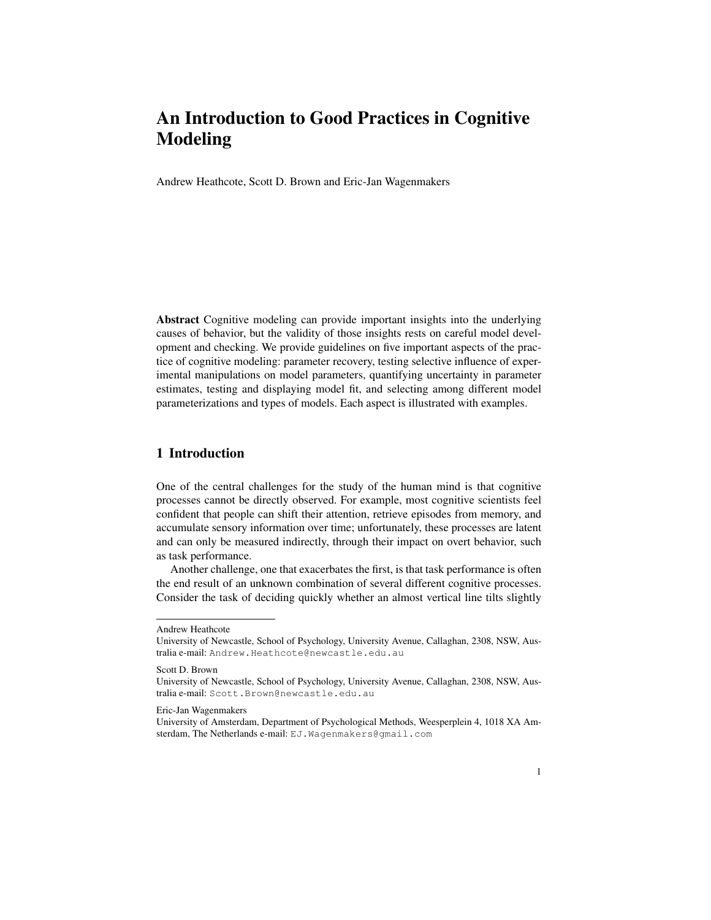# An Introduction to Good Practices in Cognitive Modeling

Andrew Heathcote, Scott D. Brown and Eric-Jan Wagenmakers

Abstract Cognitive modeling can provide important insights into the underlying causes of behavior, but the validity of those insights rests on careful model development and checking. We provide guidelines on five important aspects of the practice of cognitive modeling: parameter recovery, testing selective influence of experimental manipulations on model parameters, quantifying uncertainty in parameter estimates, testing and displaying model fit, and selecting among different model parameterizations and types of models. Each aspect is illustrated with examples.

## 1 Introduction

One of the central challenges for the study of the human mind is that cognitive processes cannot be directly observed. For example, most cognitive scientists feel confident that people can shift their attention, retrieve episodes from memory, and accumulate sensory information over time; unfortunately, these processes are latent and can only be measured indirectly, through their impact on overt behavior, such as task performance.

Another challenge, one that exacerbates the first, is that task performance is often the end result of an unknown combination of several different cognitive processes. Consider the task of deciding quickly whether an almost vertical line tilts slightly

Eric-Jan Wagenmakers

Andrew Heathcote

University of Newcastle, School of Psychology, University Avenue, Callaghan, 2308, NSW, Australia e-mail: Andrew.Heathcote@newcastle.edu.au

Scott D. Brown

University of Newcastle, School of Psychology, University Avenue, Callaghan, 2308, NSW, Australia e-mail: Scott.Brown@newcastle.edu.au

University of Amsterdam, Department of Psychological Methods, Weesperplein 4, 1018 XA Amsterdam, The Netherlands e-mail: EJ.Wagenmakers@gmail.com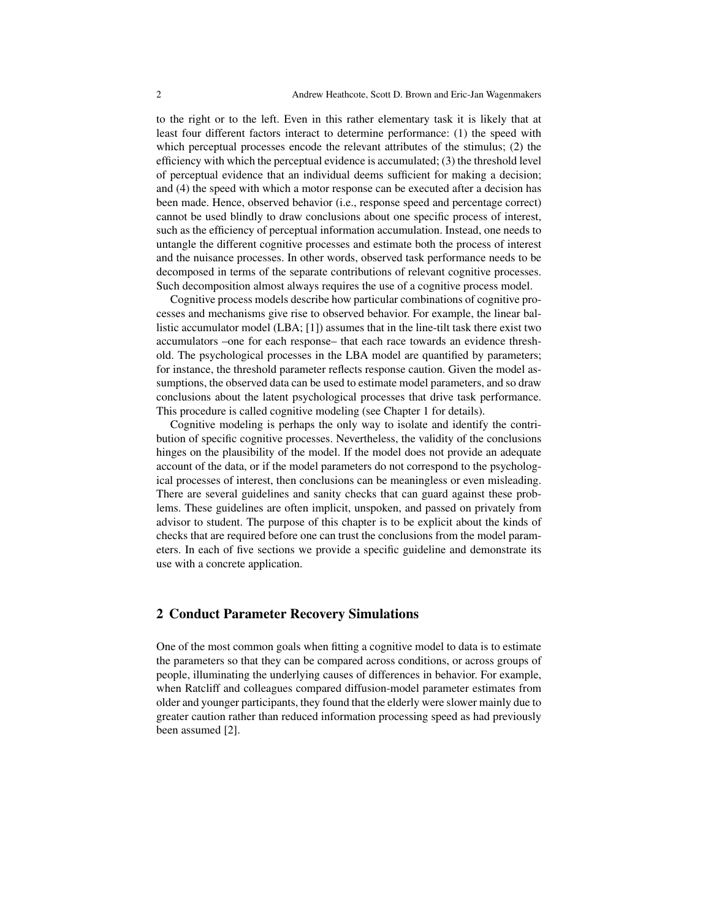to the right or to the left. Even in this rather elementary task it is likely that at least four different factors interact to determine performance: (1) the speed with which perceptual processes encode the relevant attributes of the stimulus; (2) the efficiency with which the perceptual evidence is accumulated; (3) the threshold level of perceptual evidence that an individual deems sufficient for making a decision; and (4) the speed with which a motor response can be executed after a decision has been made. Hence, observed behavior (i.e., response speed and percentage correct) cannot be used blindly to draw conclusions about one specific process of interest, such as the efficiency of perceptual information accumulation. Instead, one needs to untangle the different cognitive processes and estimate both the process of interest and the nuisance processes. In other words, observed task performance needs to be decomposed in terms of the separate contributions of relevant cognitive processes. Such decomposition almost always requires the use of a cognitive process model.

Cognitive process models describe how particular combinations of cognitive processes and mechanisms give rise to observed behavior. For example, the linear ballistic accumulator model (LBA; [1]) assumes that in the line-tilt task there exist two accumulators –one for each response– that each race towards an evidence threshold. The psychological processes in the LBA model are quantified by parameters; for instance, the threshold parameter reflects response caution. Given the model assumptions, the observed data can be used to estimate model parameters, and so draw conclusions about the latent psychological processes that drive task performance. This procedure is called cognitive modeling (see Chapter 1 for details).

Cognitive modeling is perhaps the only way to isolate and identify the contribution of specific cognitive processes. Nevertheless, the validity of the conclusions hinges on the plausibility of the model. If the model does not provide an adequate account of the data, or if the model parameters do not correspond to the psychological processes of interest, then conclusions can be meaningless or even misleading. There are several guidelines and sanity checks that can guard against these problems. These guidelines are often implicit, unspoken, and passed on privately from advisor to student. The purpose of this chapter is to be explicit about the kinds of checks that are required before one can trust the conclusions from the model parameters. In each of five sections we provide a specific guideline and demonstrate its use with a concrete application.

#### 2 Conduct Parameter Recovery Simulations

One of the most common goals when fitting a cognitive model to data is to estimate the parameters so that they can be compared across conditions, or across groups of people, illuminating the underlying causes of differences in behavior. For example, when Ratcliff and colleagues compared diffusion-model parameter estimates from older and younger participants, they found that the elderly were slower mainly due to greater caution rather than reduced information processing speed as had previously been assumed [2].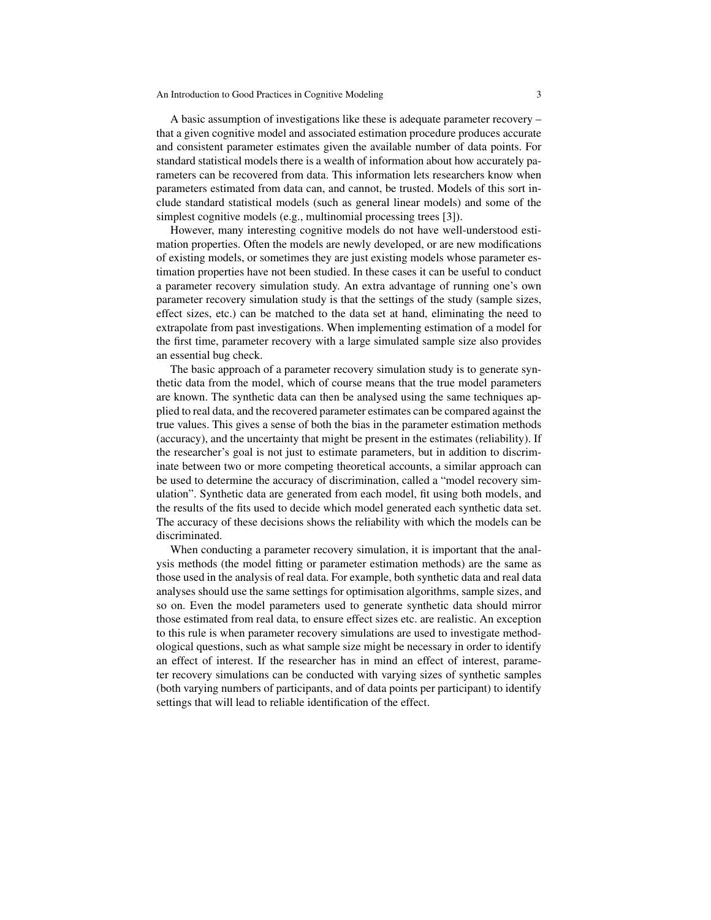A basic assumption of investigations like these is adequate parameter recovery – that a given cognitive model and associated estimation procedure produces accurate and consistent parameter estimates given the available number of data points. For standard statistical models there is a wealth of information about how accurately parameters can be recovered from data. This information lets researchers know when parameters estimated from data can, and cannot, be trusted. Models of this sort include standard statistical models (such as general linear models) and some of the simplest cognitive models (e.g., multinomial processing trees [3]).

However, many interesting cognitive models do not have well-understood estimation properties. Often the models are newly developed, or are new modifications of existing models, or sometimes they are just existing models whose parameter estimation properties have not been studied. In these cases it can be useful to conduct a parameter recovery simulation study. An extra advantage of running one's own parameter recovery simulation study is that the settings of the study (sample sizes, effect sizes, etc.) can be matched to the data set at hand, eliminating the need to extrapolate from past investigations. When implementing estimation of a model for the first time, parameter recovery with a large simulated sample size also provides an essential bug check.

The basic approach of a parameter recovery simulation study is to generate synthetic data from the model, which of course means that the true model parameters are known. The synthetic data can then be analysed using the same techniques applied to real data, and the recovered parameter estimates can be compared against the true values. This gives a sense of both the bias in the parameter estimation methods (accuracy), and the uncertainty that might be present in the estimates (reliability). If the researcher's goal is not just to estimate parameters, but in addition to discriminate between two or more competing theoretical accounts, a similar approach can be used to determine the accuracy of discrimination, called a "model recovery simulation". Synthetic data are generated from each model, fit using both models, and the results of the fits used to decide which model generated each synthetic data set. The accuracy of these decisions shows the reliability with which the models can be discriminated.

When conducting a parameter recovery simulation, it is important that the analysis methods (the model fitting or parameter estimation methods) are the same as those used in the analysis of real data. For example, both synthetic data and real data analyses should use the same settings for optimisation algorithms, sample sizes, and so on. Even the model parameters used to generate synthetic data should mirror those estimated from real data, to ensure effect sizes etc. are realistic. An exception to this rule is when parameter recovery simulations are used to investigate methodological questions, such as what sample size might be necessary in order to identify an effect of interest. If the researcher has in mind an effect of interest, parameter recovery simulations can be conducted with varying sizes of synthetic samples (both varying numbers of participants, and of data points per participant) to identify settings that will lead to reliable identification of the effect.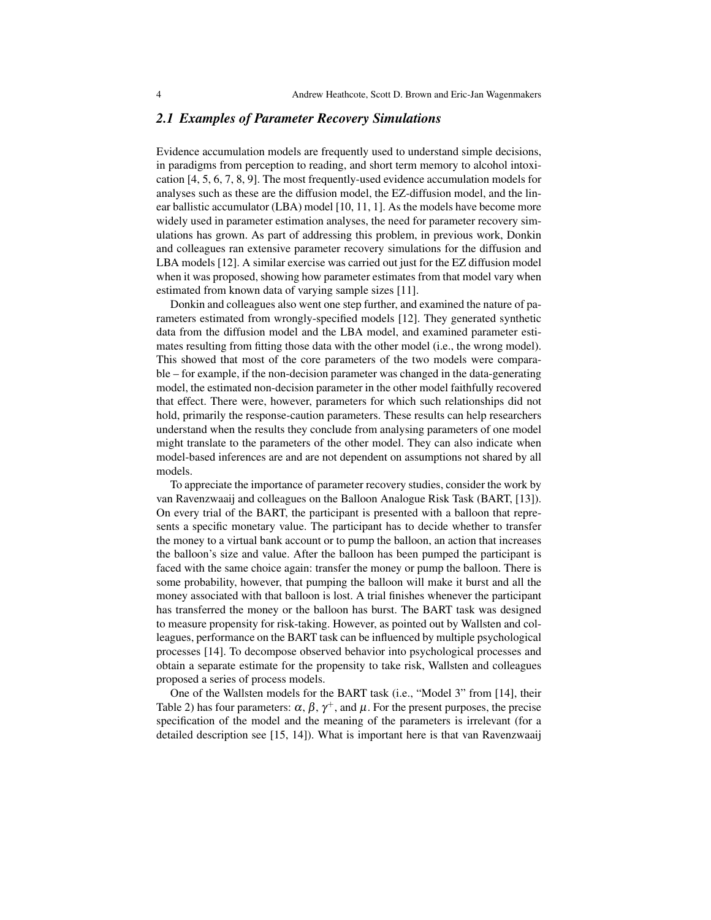#### *2.1 Examples of Parameter Recovery Simulations*

Evidence accumulation models are frequently used to understand simple decisions, in paradigms from perception to reading, and short term memory to alcohol intoxication [4, 5, 6, 7, 8, 9]. The most frequently-used evidence accumulation models for analyses such as these are the diffusion model, the EZ-diffusion model, and the linear ballistic accumulator (LBA) model [10, 11, 1]. As the models have become more widely used in parameter estimation analyses, the need for parameter recovery simulations has grown. As part of addressing this problem, in previous work, Donkin and colleagues ran extensive parameter recovery simulations for the diffusion and LBA models [12]. A similar exercise was carried out just for the EZ diffusion model when it was proposed, showing how parameter estimates from that model vary when estimated from known data of varying sample sizes [11].

Donkin and colleagues also went one step further, and examined the nature of parameters estimated from wrongly-specified models [12]. They generated synthetic data from the diffusion model and the LBA model, and examined parameter estimates resulting from fitting those data with the other model (i.e., the wrong model). This showed that most of the core parameters of the two models were comparable – for example, if the non-decision parameter was changed in the data-generating model, the estimated non-decision parameter in the other model faithfully recovered that effect. There were, however, parameters for which such relationships did not hold, primarily the response-caution parameters. These results can help researchers understand when the results they conclude from analysing parameters of one model might translate to the parameters of the other model. They can also indicate when model-based inferences are and are not dependent on assumptions not shared by all models.

To appreciate the importance of parameter recovery studies, consider the work by van Ravenzwaaij and colleagues on the Balloon Analogue Risk Task (BART, [13]). On every trial of the BART, the participant is presented with a balloon that represents a specific monetary value. The participant has to decide whether to transfer the money to a virtual bank account or to pump the balloon, an action that increases the balloon's size and value. After the balloon has been pumped the participant is faced with the same choice again: transfer the money or pump the balloon. There is some probability, however, that pumping the balloon will make it burst and all the money associated with that balloon is lost. A trial finishes whenever the participant has transferred the money or the balloon has burst. The BART task was designed to measure propensity for risk-taking. However, as pointed out by Wallsten and colleagues, performance on the BART task can be influenced by multiple psychological processes [14]. To decompose observed behavior into psychological processes and obtain a separate estimate for the propensity to take risk, Wallsten and colleagues proposed a series of process models.

One of the Wallsten models for the BART task (i.e., "Model 3" from [14], their Table 2) has four parameters:  $\alpha$ ,  $\beta$ ,  $\gamma^+$ , and  $\mu$ . For the present purposes, the precise specification of the model and the meaning of the parameters is irrelevant (for a detailed description see [15, 14]). What is important here is that van Ravenzwaaij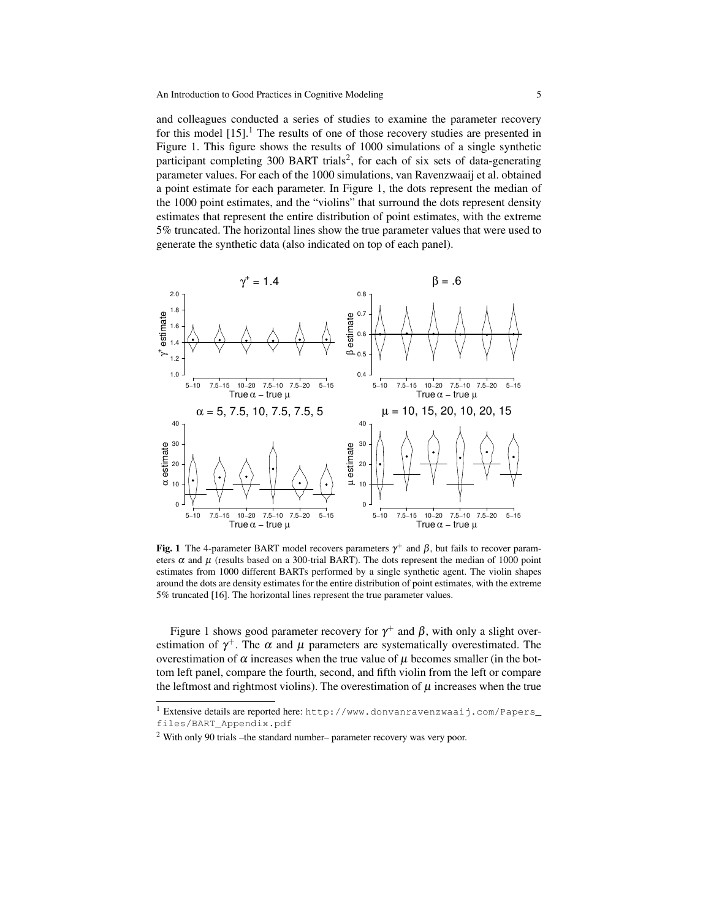and colleagues conducted a series of studies to examine the parameter recovery for this model  $[15]$ .<sup>1</sup> The results of one of those recovery studies are presented in Figure 1. This figure shows the results of 1000 simulations of a single synthetic participant completing 300 BART trials<sup>2</sup>, for each of six sets of data-generating parameter values. For each of the 1000 simulations, van Ravenzwaaij et al. obtained a point estimate for each parameter. In Figure 1, the dots represent the median of the 1000 point estimates, and the "violins" that surround the dots represent density estimates that represent the entire distribution of point estimates, with the extreme 5% truncated. The horizontal lines show the true parameter values that were used to generate the synthetic data (also indicated on top of each panel).



**Fig. 1** The 4-parameter BART model recovers parameters  $\gamma^+$  and  $\beta$ , but fails to recover parameters  $\alpha$  and  $\mu$  (results based on a 300-trial BART). The dots represent the median of 1000 point estimates from 1000 different BARTs performed by a single synthetic agent. The violin shapes around the dots are density estimates for the entire distribution of point estimates, with the extreme 5% truncated [16]. The horizontal lines represent the true parameter values.

Figure 1 shows good parameter recovery for  $\gamma^+$  and  $\beta$ , with only a slight overestimation of  $\gamma^+$ . The  $\alpha$  and  $\mu$  parameters are systematically overestimated. The overestimation of  $\alpha$  increases when the true value of  $\mu$  becomes smaller (in the bottom left panel, compare the fourth, second, and fifth violin from the left or compare the leftmost and rightmost violins). The overestimation of  $\mu$  increases when the true

<sup>1</sup> Extensive details are reported here: http://www.donvanravenzwaaij.com/Papers\_ files/BART\_Appendix.pdf

<sup>2</sup> With only 90 trials –the standard number– parameter recovery was very poor.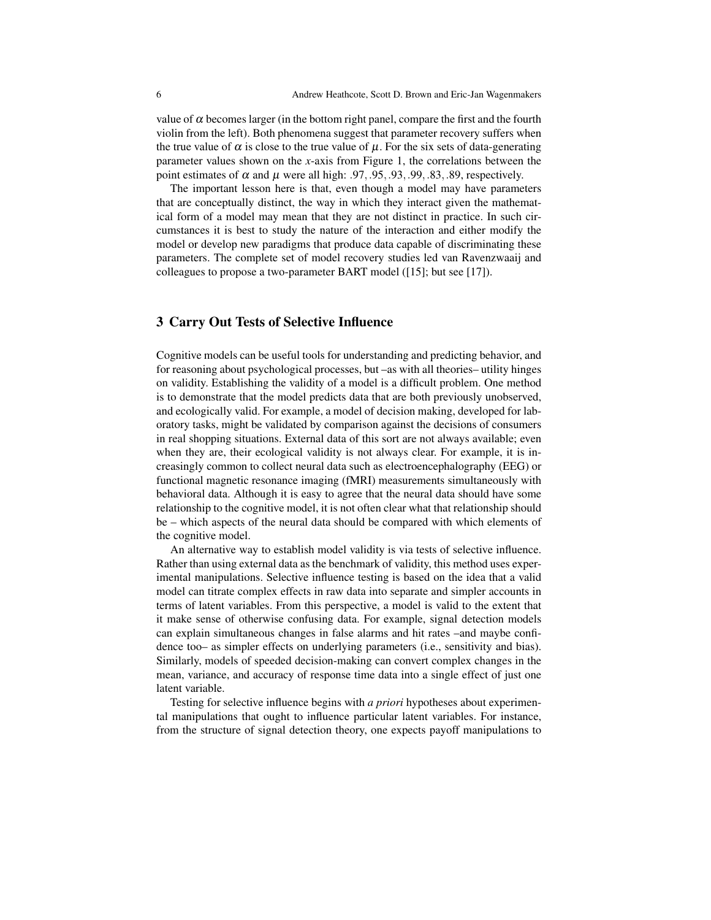value of  $\alpha$  becomes larger (in the bottom right panel, compare the first and the fourth violin from the left). Both phenomena suggest that parameter recovery suffers when the true value of  $\alpha$  is close to the true value of  $\mu$ . For the six sets of data-generating parameter values shown on the *x*-axis from Figure 1, the correlations between the point estimates of  $\alpha$  and  $\mu$  were all high: .97,.95,.93,.99,.83,.89, respectively.

The important lesson here is that, even though a model may have parameters that are conceptually distinct, the way in which they interact given the mathematical form of a model may mean that they are not distinct in practice. In such circumstances it is best to study the nature of the interaction and either modify the model or develop new paradigms that produce data capable of discriminating these parameters. The complete set of model recovery studies led van Ravenzwaaij and colleagues to propose a two-parameter BART model ([15]; but see [17]).

#### 3 Carry Out Tests of Selective Influence

Cognitive models can be useful tools for understanding and predicting behavior, and for reasoning about psychological processes, but –as with all theories– utility hinges on validity. Establishing the validity of a model is a difficult problem. One method is to demonstrate that the model predicts data that are both previously unobserved, and ecologically valid. For example, a model of decision making, developed for laboratory tasks, might be validated by comparison against the decisions of consumers in real shopping situations. External data of this sort are not always available; even when they are, their ecological validity is not always clear. For example, it is increasingly common to collect neural data such as electroencephalography (EEG) or functional magnetic resonance imaging (fMRI) measurements simultaneously with behavioral data. Although it is easy to agree that the neural data should have some relationship to the cognitive model, it is not often clear what that relationship should be – which aspects of the neural data should be compared with which elements of the cognitive model.

An alternative way to establish model validity is via tests of selective influence. Rather than using external data as the benchmark of validity, this method uses experimental manipulations. Selective influence testing is based on the idea that a valid model can titrate complex effects in raw data into separate and simpler accounts in terms of latent variables. From this perspective, a model is valid to the extent that it make sense of otherwise confusing data. For example, signal detection models can explain simultaneous changes in false alarms and hit rates –and maybe confidence too– as simpler effects on underlying parameters (i.e., sensitivity and bias). Similarly, models of speeded decision-making can convert complex changes in the mean, variance, and accuracy of response time data into a single effect of just one latent variable.

Testing for selective influence begins with *a priori* hypotheses about experimental manipulations that ought to influence particular latent variables. For instance, from the structure of signal detection theory, one expects payoff manipulations to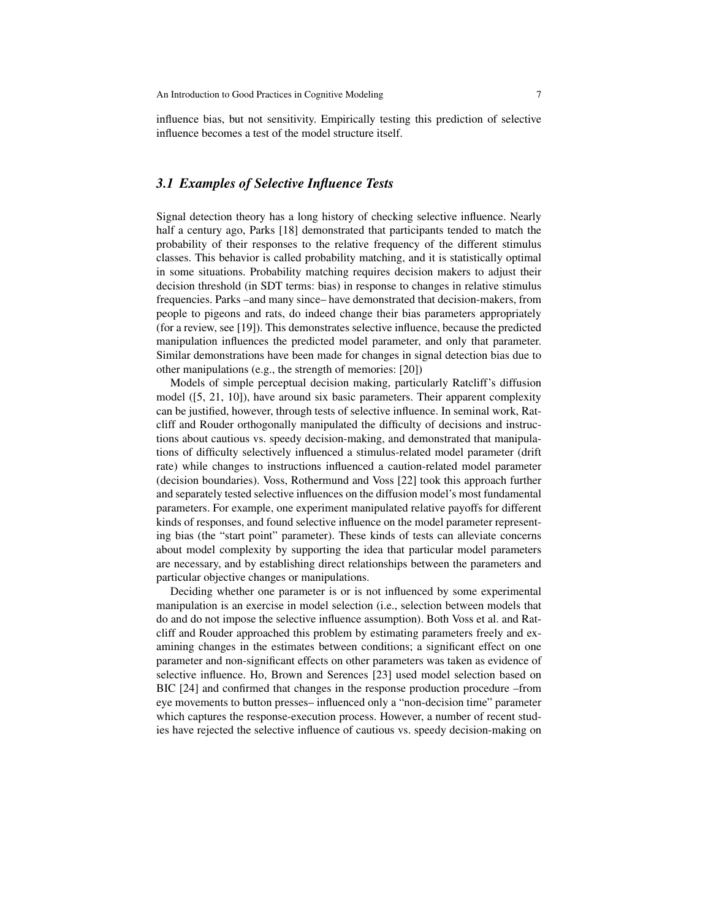influence bias, but not sensitivity. Empirically testing this prediction of selective influence becomes a test of the model structure itself.

#### *3.1 Examples of Selective Influence Tests*

Signal detection theory has a long history of checking selective influence. Nearly half a century ago, Parks [18] demonstrated that participants tended to match the probability of their responses to the relative frequency of the different stimulus classes. This behavior is called probability matching, and it is statistically optimal in some situations. Probability matching requires decision makers to adjust their decision threshold (in SDT terms: bias) in response to changes in relative stimulus frequencies. Parks –and many since– have demonstrated that decision-makers, from people to pigeons and rats, do indeed change their bias parameters appropriately (for a review, see [19]). This demonstrates selective influence, because the predicted manipulation influences the predicted model parameter, and only that parameter. Similar demonstrations have been made for changes in signal detection bias due to other manipulations (e.g., the strength of memories: [20])

Models of simple perceptual decision making, particularly Ratcliff's diffusion model ([5, 21, 10]), have around six basic parameters. Their apparent complexity can be justified, however, through tests of selective influence. In seminal work, Ratcliff and Rouder orthogonally manipulated the difficulty of decisions and instructions about cautious vs. speedy decision-making, and demonstrated that manipulations of difficulty selectively influenced a stimulus-related model parameter (drift rate) while changes to instructions influenced a caution-related model parameter (decision boundaries). Voss, Rothermund and Voss [22] took this approach further and separately tested selective influences on the diffusion model's most fundamental parameters. For example, one experiment manipulated relative payoffs for different kinds of responses, and found selective influence on the model parameter representing bias (the "start point" parameter). These kinds of tests can alleviate concerns about model complexity by supporting the idea that particular model parameters are necessary, and by establishing direct relationships between the parameters and particular objective changes or manipulations.

Deciding whether one parameter is or is not influenced by some experimental manipulation is an exercise in model selection (i.e., selection between models that do and do not impose the selective influence assumption). Both Voss et al. and Ratcliff and Rouder approached this problem by estimating parameters freely and examining changes in the estimates between conditions; a significant effect on one parameter and non-significant effects on other parameters was taken as evidence of selective influence. Ho, Brown and Serences [23] used model selection based on BIC [24] and confirmed that changes in the response production procedure –from eye movements to button presses– influenced only a "non-decision time" parameter which captures the response-execution process. However, a number of recent studies have rejected the selective influence of cautious vs. speedy decision-making on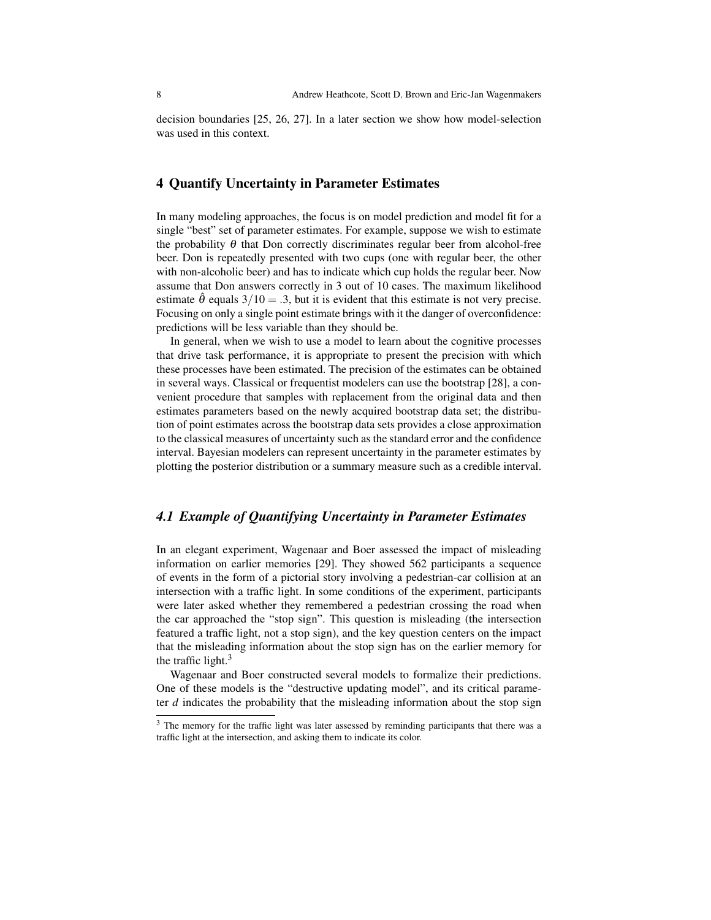decision boundaries [25, 26, 27]. In a later section we show how model-selection was used in this context.

#### 4 Quantify Uncertainty in Parameter Estimates

In many modeling approaches, the focus is on model prediction and model fit for a single "best" set of parameter estimates. For example, suppose we wish to estimate the probability  $\theta$  that Don correctly discriminates regular beer from alcohol-free beer. Don is repeatedly presented with two cups (one with regular beer, the other with non-alcoholic beer) and has to indicate which cup holds the regular beer. Now assume that Don answers correctly in 3 out of 10 cases. The maximum likelihood estimate  $\hat{\theta}$  equals  $3/10 = .3$ , but it is evident that this estimate is not very precise. Focusing on only a single point estimate brings with it the danger of overconfidence: predictions will be less variable than they should be.

In general, when we wish to use a model to learn about the cognitive processes that drive task performance, it is appropriate to present the precision with which these processes have been estimated. The precision of the estimates can be obtained in several ways. Classical or frequentist modelers can use the bootstrap [28], a convenient procedure that samples with replacement from the original data and then estimates parameters based on the newly acquired bootstrap data set; the distribution of point estimates across the bootstrap data sets provides a close approximation to the classical measures of uncertainty such as the standard error and the confidence interval. Bayesian modelers can represent uncertainty in the parameter estimates by plotting the posterior distribution or a summary measure such as a credible interval.

## *4.1 Example of Quantifying Uncertainty in Parameter Estimates*

In an elegant experiment, Wagenaar and Boer assessed the impact of misleading information on earlier memories [29]. They showed 562 participants a sequence of events in the form of a pictorial story involving a pedestrian-car collision at an intersection with a traffic light. In some conditions of the experiment, participants were later asked whether they remembered a pedestrian crossing the road when the car approached the "stop sign". This question is misleading (the intersection featured a traffic light, not a stop sign), and the key question centers on the impact that the misleading information about the stop sign has on the earlier memory for the traffic light. $3$ 

Wagenaar and Boer constructed several models to formalize their predictions. One of these models is the "destructive updating model", and its critical parameter *d* indicates the probability that the misleading information about the stop sign

<sup>&</sup>lt;sup>3</sup> The memory for the traffic light was later assessed by reminding participants that there was a traffic light at the intersection, and asking them to indicate its color.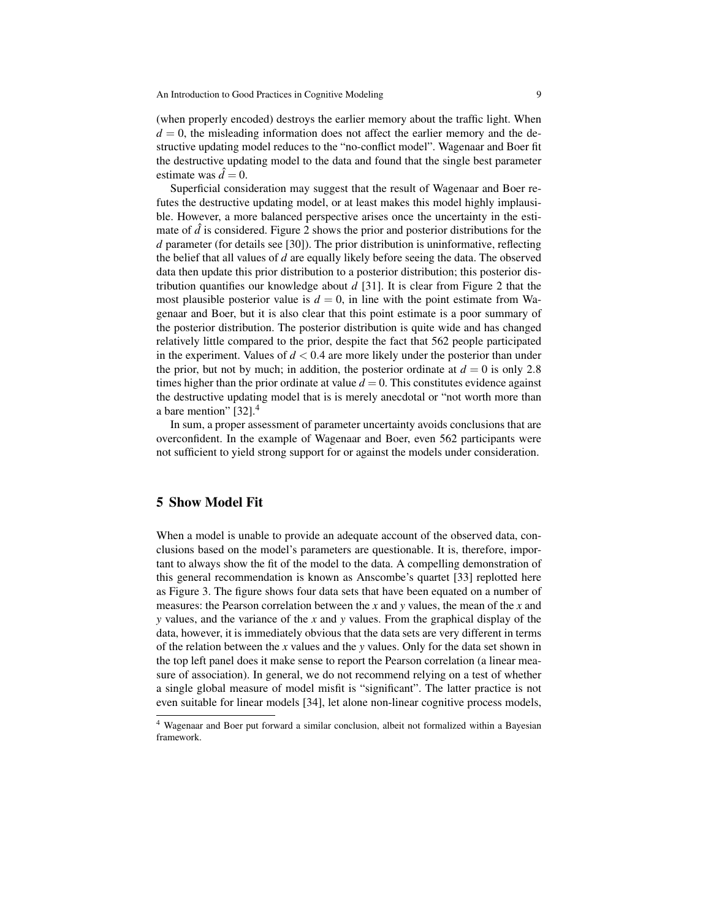(when properly encoded) destroys the earlier memory about the traffic light. When  $d = 0$ , the misleading information does not affect the earlier memory and the destructive updating model reduces to the "no-conflict model". Wagenaar and Boer fit the destructive updating model to the data and found that the single best parameter estimate was  $\hat{d} = 0$ .

Superficial consideration may suggest that the result of Wagenaar and Boer refutes the destructive updating model, or at least makes this model highly implausible. However, a more balanced perspective arises once the uncertainty in the estimate of  $\hat{d}$  is considered. Figure 2 shows the prior and posterior distributions for the *d* parameter (for details see [30]). The prior distribution is uninformative, reflecting the belief that all values of *d* are equally likely before seeing the data. The observed data then update this prior distribution to a posterior distribution; this posterior distribution quantifies our knowledge about *d* [31]. It is clear from Figure 2 that the most plausible posterior value is  $d = 0$ , in line with the point estimate from Wagenaar and Boer, but it is also clear that this point estimate is a poor summary of the posterior distribution. The posterior distribution is quite wide and has changed relatively little compared to the prior, despite the fact that 562 people participated in the experiment. Values of  $d < 0.4$  are more likely under the posterior than under the prior, but not by much; in addition, the posterior ordinate at  $d = 0$  is only 2.8 times higher than the prior ordinate at value  $d = 0$ . This constitutes evidence against the destructive updating model that is is merely anecdotal or "not worth more than a bare mention" [32].<sup>4</sup>

In sum, a proper assessment of parameter uncertainty avoids conclusions that are overconfident. In the example of Wagenaar and Boer, even 562 participants were not sufficient to yield strong support for or against the models under consideration.

#### 5 Show Model Fit

When a model is unable to provide an adequate account of the observed data, conclusions based on the model's parameters are questionable. It is, therefore, important to always show the fit of the model to the data. A compelling demonstration of this general recommendation is known as Anscombe's quartet [33] replotted here as Figure 3. The figure shows four data sets that have been equated on a number of measures: the Pearson correlation between the *x* and *y* values, the mean of the *x* and *y* values, and the variance of the *x* and *y* values. From the graphical display of the data, however, it is immediately obvious that the data sets are very different in terms of the relation between the *x* values and the *y* values. Only for the data set shown in the top left panel does it make sense to report the Pearson correlation (a linear measure of association). In general, we do not recommend relying on a test of whether a single global measure of model misfit is "significant". The latter practice is not even suitable for linear models [34], let alone non-linear cognitive process models,

<sup>4</sup> Wagenaar and Boer put forward a similar conclusion, albeit not formalized within a Bayesian framework.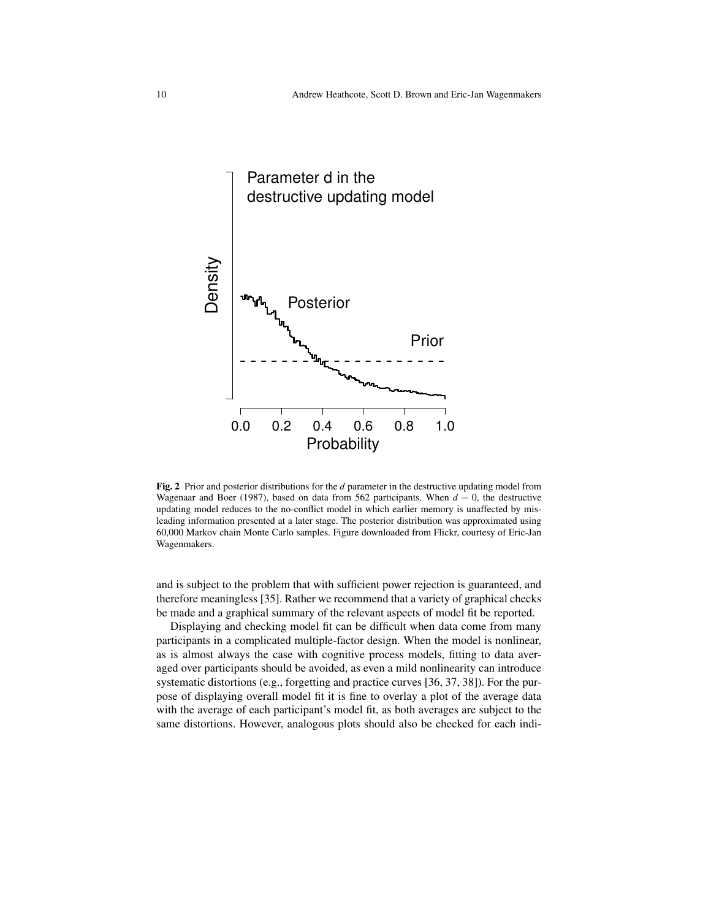

Fig. 2 Prior and posterior distributions for the *d* parameter in the destructive updating model from Wagenaar and Boer (1987), based on data from 562 participants. When  $d = 0$ , the destructive updating model reduces to the no-conflict model in which earlier memory is unaffected by misleading information presented at a later stage. The posterior distribution was approximated using 60,000 Markov chain Monte Carlo samples. Figure downloaded from Flickr, courtesy of Eric-Jan Wagenmakers.

and is subject to the problem that with sufficient power rejection is guaranteed, and therefore meaningless [35]. Rather we recommend that a variety of graphical checks be made and a graphical summary of the relevant aspects of model fit be reported.

Displaying and checking model fit can be difficult when data come from many participants in a complicated multiple-factor design. When the model is nonlinear, as is almost always the case with cognitive process models, fitting to data averaged over participants should be avoided, as even a mild nonlinearity can introduce systematic distortions (e.g., forgetting and practice curves [36, 37, 38]). For the purpose of displaying overall model fit it is fine to overlay a plot of the average data with the average of each participant's model fit, as both averages are subject to the same distortions. However, analogous plots should also be checked for each indi-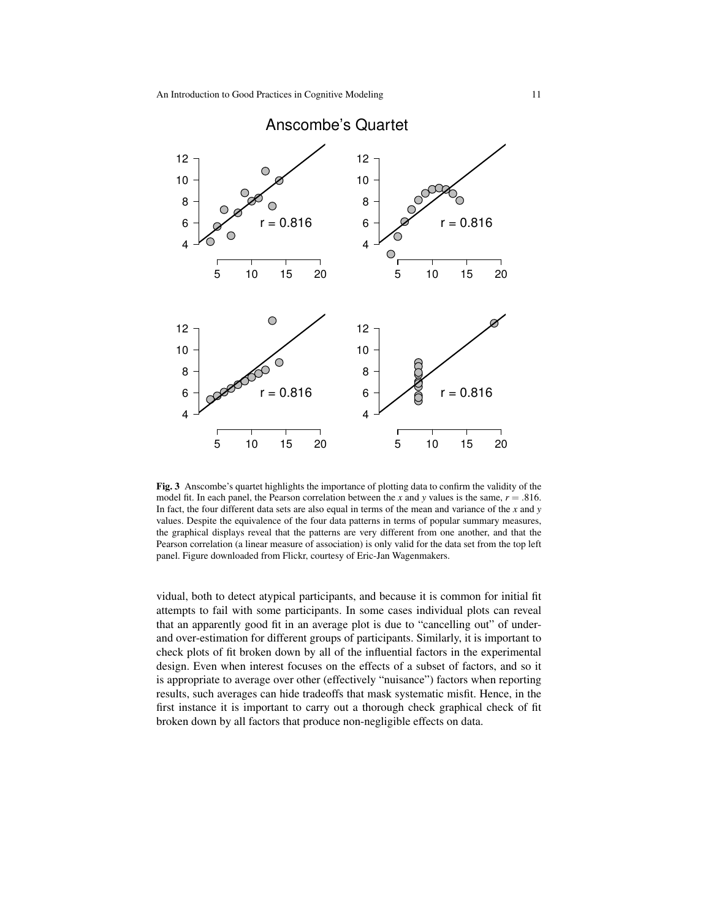

Fig. 3 Anscombe's quartet highlights the importance of plotting data to confirm the validity of the model fit. In each panel, the Pearson correlation between the *x* and *y* values is the same,  $r = .816$ . In fact, the four different data sets are also equal in terms of the mean and variance of the *x* and *y* values. Despite the equivalence of the four data patterns in terms of popular summary measures, the graphical displays reveal that the patterns are very different from one another, and that the Pearson correlation (a linear measure of association) is only valid for the data set from the top left panel. Figure downloaded from Flickr, courtesy of Eric-Jan Wagenmakers.

vidual, both to detect atypical participants, and because it is common for initial fit attempts to fail with some participants. In some cases individual plots can reveal that an apparently good fit in an average plot is due to "cancelling out" of underand over-estimation for different groups of participants. Similarly, it is important to check plots of fit broken down by all of the influential factors in the experimental design. Even when interest focuses on the effects of a subset of factors, and so it is appropriate to average over other (effectively "nuisance") factors when reporting results, such averages can hide tradeoffs that mask systematic misfit. Hence, in the first instance it is important to carry out a thorough check graphical check of fit broken down by all factors that produce non-negligible effects on data.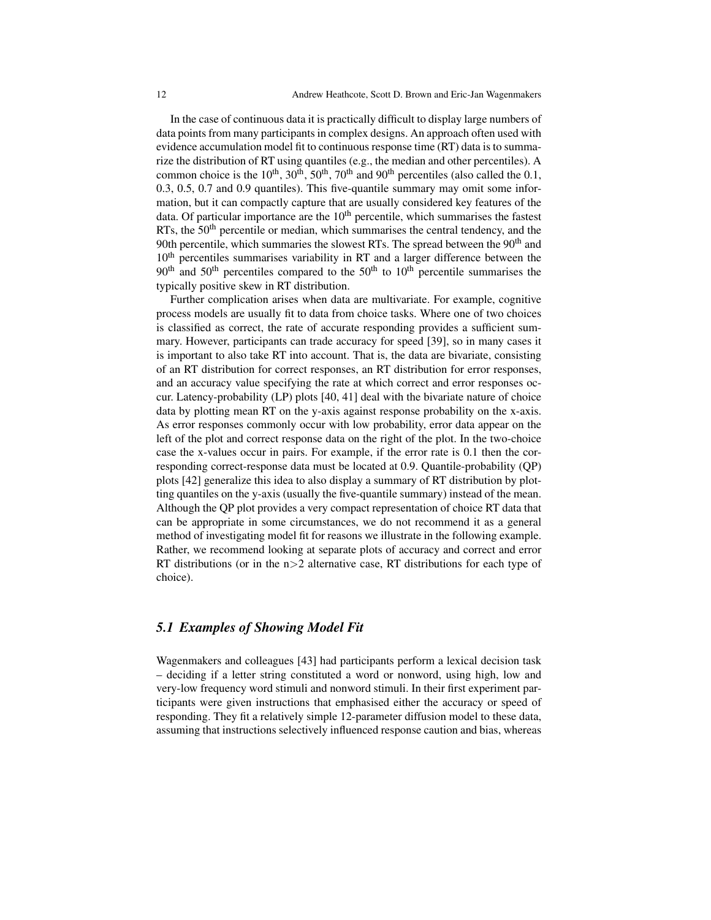In the case of continuous data it is practically difficult to display large numbers of data points from many participants in complex designs. An approach often used with evidence accumulation model fit to continuous response time (RT) data is to summarize the distribution of RT using quantiles (e.g., the median and other percentiles). A common choice is the  $10^{th}$ ,  $30^{th}$ ,  $50^{th}$ ,  $70^{th}$  and  $90^{th}$  percentiles (also called the 0.1, 0.3, 0.5, 0.7 and 0.9 quantiles). This five-quantile summary may omit some information, but it can compactly capture that are usually considered key features of the data. Of particular importance are the  $10<sup>th</sup>$  percentile, which summarises the fastest RTs, the 50<sup>th</sup> percentile or median, which summarises the central tendency, and the 90th percentile, which summaries the slowest RTs. The spread between the 90<sup>th</sup> and 10<sup>th</sup> percentiles summarises variability in RT and a larger difference between the  $90<sup>th</sup>$  and  $50<sup>th</sup>$  percentiles compared to the  $50<sup>th</sup>$  to  $10<sup>th</sup>$  percentile summarises the typically positive skew in RT distribution.

Further complication arises when data are multivariate. For example, cognitive process models are usually fit to data from choice tasks. Where one of two choices is classified as correct, the rate of accurate responding provides a sufficient summary. However, participants can trade accuracy for speed [39], so in many cases it is important to also take RT into account. That is, the data are bivariate, consisting of an RT distribution for correct responses, an RT distribution for error responses, and an accuracy value specifying the rate at which correct and error responses occur. Latency-probability (LP) plots [40, 41] deal with the bivariate nature of choice data by plotting mean RT on the y-axis against response probability on the x-axis. As error responses commonly occur with low probability, error data appear on the left of the plot and correct response data on the right of the plot. In the two-choice case the x-values occur in pairs. For example, if the error rate is 0.1 then the corresponding correct-response data must be located at 0.9. Quantile-probability (QP) plots [42] generalize this idea to also display a summary of RT distribution by plotting quantiles on the y-axis (usually the five-quantile summary) instead of the mean. Although the QP plot provides a very compact representation of choice RT data that can be appropriate in some circumstances, we do not recommend it as a general method of investigating model fit for reasons we illustrate in the following example. Rather, we recommend looking at separate plots of accuracy and correct and error RT distributions (or in the  $n>2$  alternative case, RT distributions for each type of choice).

#### *5.1 Examples of Showing Model Fit*

Wagenmakers and colleagues [43] had participants perform a lexical decision task – deciding if a letter string constituted a word or nonword, using high, low and very-low frequency word stimuli and nonword stimuli. In their first experiment participants were given instructions that emphasised either the accuracy or speed of responding. They fit a relatively simple 12-parameter diffusion model to these data, assuming that instructions selectively influenced response caution and bias, whereas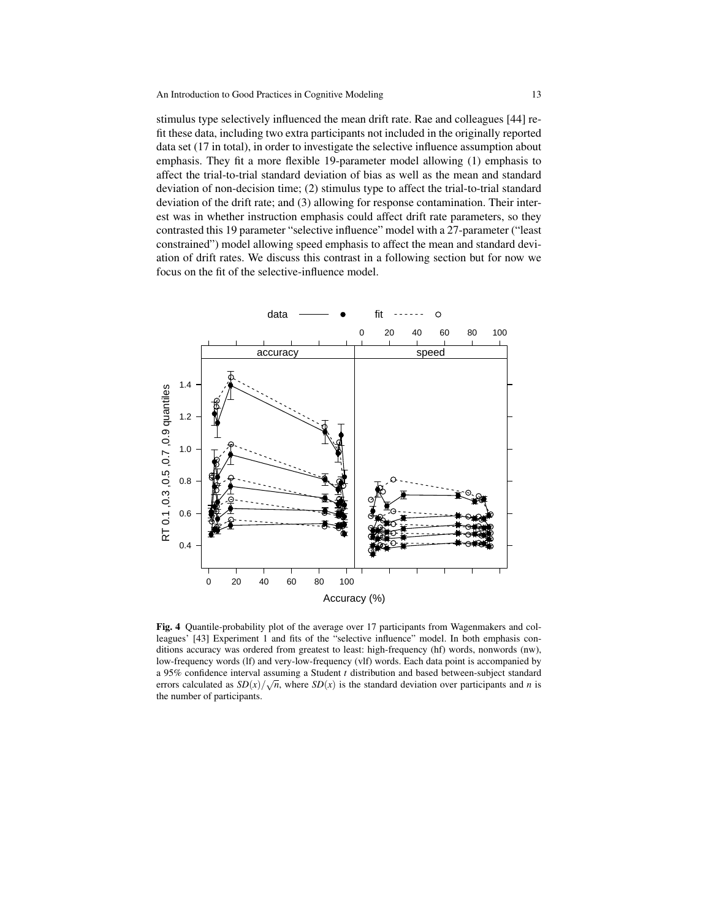stimulus type selectively influenced the mean drift rate. Rae and colleagues [44] refit these data, including two extra participants not included in the originally reported data set (17 in total), in order to investigate the selective influence assumption about emphasis. They fit a more flexible 19-parameter model allowing (1) emphasis to affect the trial-to-trial standard deviation of bias as well as the mean and standard deviation of non-decision time; (2) stimulus type to affect the trial-to-trial standard deviation of the drift rate; and (3) allowing for response contamination. Their interest was in whether instruction emphasis could affect drift rate parameters, so they contrasted this 19 parameter "selective influence" model with a 27-parameter ("least constrained") model allowing speed emphasis to affect the mean and standard deviation of drift rates. We discuss this contrast in a following section but for now we focus on the fit of the selective-influence model.



Fig. 4 Quantile-probability plot of the average over 17 participants from Wagenmakers and colleagues' [43] Experiment 1 and fits of the "selective influence" model. In both emphasis conditions accuracy was ordered from greatest to least: high-frequency (hf) words, nonwords (nw), low-frequency words (lf) and very-low-frequency (vlf) words. Each data point is accompanied by a 95% confidence interval assuming a Student *t* distribution and based between-subject standard √ errors calculated as  $SD(x)/\sqrt{n}$ , where  $SD(x)$  is the standard deviation over participants and *n* is the number of participants.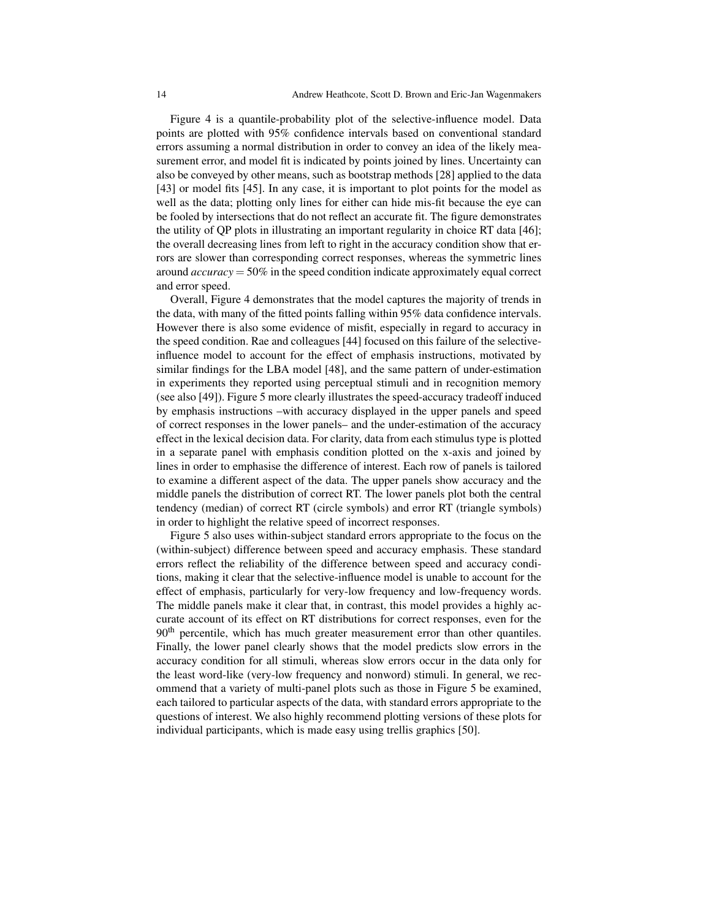Figure 4 is a quantile-probability plot of the selective-influence model. Data points are plotted with 95% confidence intervals based on conventional standard errors assuming a normal distribution in order to convey an idea of the likely measurement error, and model fit is indicated by points joined by lines. Uncertainty can also be conveyed by other means, such as bootstrap methods [28] applied to the data [43] or model fits [45]. In any case, it is important to plot points for the model as well as the data; plotting only lines for either can hide mis-fit because the eye can be fooled by intersections that do not reflect an accurate fit. The figure demonstrates the utility of QP plots in illustrating an important regularity in choice RT data [46]; the overall decreasing lines from left to right in the accuracy condition show that errors are slower than corresponding correct responses, whereas the symmetric lines around *accuracy* = 50% in the speed condition indicate approximately equal correct and error speed.

Overall, Figure 4 demonstrates that the model captures the majority of trends in the data, with many of the fitted points falling within 95% data confidence intervals. However there is also some evidence of misfit, especially in regard to accuracy in the speed condition. Rae and colleagues [44] focused on this failure of the selectiveinfluence model to account for the effect of emphasis instructions, motivated by similar findings for the LBA model [48], and the same pattern of under-estimation in experiments they reported using perceptual stimuli and in recognition memory (see also [49]). Figure 5 more clearly illustrates the speed-accuracy tradeoff induced by emphasis instructions –with accuracy displayed in the upper panels and speed of correct responses in the lower panels– and the under-estimation of the accuracy effect in the lexical decision data. For clarity, data from each stimulus type is plotted in a separate panel with emphasis condition plotted on the x-axis and joined by lines in order to emphasise the difference of interest. Each row of panels is tailored to examine a different aspect of the data. The upper panels show accuracy and the middle panels the distribution of correct RT. The lower panels plot both the central tendency (median) of correct RT (circle symbols) and error RT (triangle symbols) in order to highlight the relative speed of incorrect responses.

Figure 5 also uses within-subject standard errors appropriate to the focus on the (within-subject) difference between speed and accuracy emphasis. These standard errors reflect the reliability of the difference between speed and accuracy conditions, making it clear that the selective-influence model is unable to account for the effect of emphasis, particularly for very-low frequency and low-frequency words. The middle panels make it clear that, in contrast, this model provides a highly accurate account of its effect on RT distributions for correct responses, even for the 90<sup>th</sup> percentile, which has much greater measurement error than other quantiles. Finally, the lower panel clearly shows that the model predicts slow errors in the accuracy condition for all stimuli, whereas slow errors occur in the data only for the least word-like (very-low frequency and nonword) stimuli. In general, we recommend that a variety of multi-panel plots such as those in Figure 5 be examined, each tailored to particular aspects of the data, with standard errors appropriate to the questions of interest. We also highly recommend plotting versions of these plots for individual participants, which is made easy using trellis graphics [50].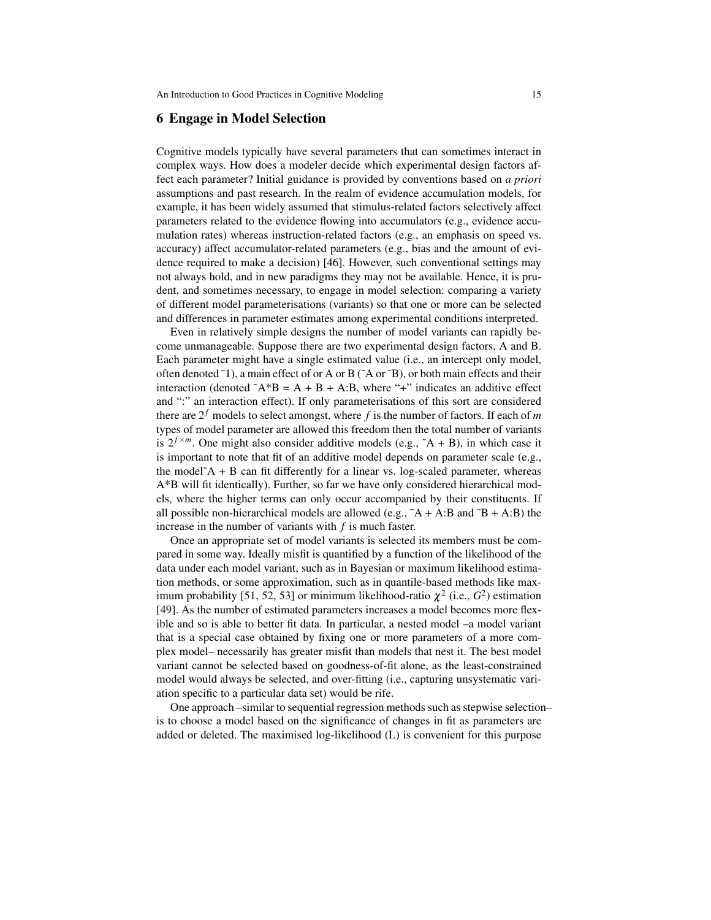#### 6 Engage in Model Selection

Cognitive models typically have several parameters that can sometimes interact in complex ways. How does a modeler decide which experimental design factors affect each parameter? Initial guidance is provided by conventions based on *a priori* assumptions and past research. In the realm of evidence accumulation models, for example, it has been widely assumed that stimulus-related factors selectively affect parameters related to the evidence flowing into accumulators (e.g., evidence accumulation rates) whereas instruction-related factors (e.g., an emphasis on speed vs. accuracy) affect accumulator-related parameters (e.g., bias and the amount of evidence required to make a decision) [46]. However, such conventional settings may not always hold, and in new paradigms they may not be available. Hence, it is prudent, and sometimes necessary, to engage in model selection: comparing a variety of different model parameterisations (variants) so that one or more can be selected and differences in parameter estimates among experimental conditions interpreted.

Even in relatively simple designs the number of model variants can rapidly become unmanageable. Suppose there are two experimental design factors, A and B. Each parameter might have a single estimated value (i.e., an intercept only model, often denoted ˜1), a main effect of or A or B (˜A or ˜B), or both main effects and their interaction (denoted  $\tilde{A}^*B = A + B + A:B$ , where "+" indicates an additive effect and ":" an interaction effect). If only parameterisations of this sort are considered there are  $2<sup>f</sup>$  models to select amongst, where *f* is the number of factors. If each of *m* types of model parameter are allowed this freedom then the total number of variants is  $2^{f \times m}$ . One might also consider additive models (e.g.,  $\tilde{A} + B$ ), in which case it is important to note that fit of an additive model depends on parameter scale (e.g., the model $\hat{A}$  + B can fit differently for a linear vs. log-scaled parameter, whereas A\*B will fit identically). Further, so far we have only considered hierarchical models, where the higher terms can only occur accompanied by their constituents. If all possible non-hierarchical models are allowed (e.g.,  $\tilde{A} + A:B$  and  $\tilde{B} + A:B$ ) the increase in the number of variants with *f* is much faster.

Once an appropriate set of model variants is selected its members must be compared in some way. Ideally misfit is quantified by a function of the likelihood of the data under each model variant, such as in Bayesian or maximum likelihood estimation methods, or some approximation, such as in quantile-based methods like maximum probability [51, 52, 53] or minimum likelihood-ratio  $\chi^2$  (i.e.,  $G^2$ ) estimation [49]. As the number of estimated parameters increases a model becomes more flexible and so is able to better fit data. In particular, a nested model –a model variant that is a special case obtained by fixing one or more parameters of a more complex model– necessarily has greater misfit than models that nest it. The best model variant cannot be selected based on goodness-of-fit alone, as the least-constrained model would always be selected, and over-fitting (i.e., capturing unsystematic variation specific to a particular data set) would be rife.

One approach –similar to sequential regression methods such as stepwise selection– is to choose a model based on the significance of changes in fit as parameters are added or deleted. The maximised log-likelihood (L) is convenient for this purpose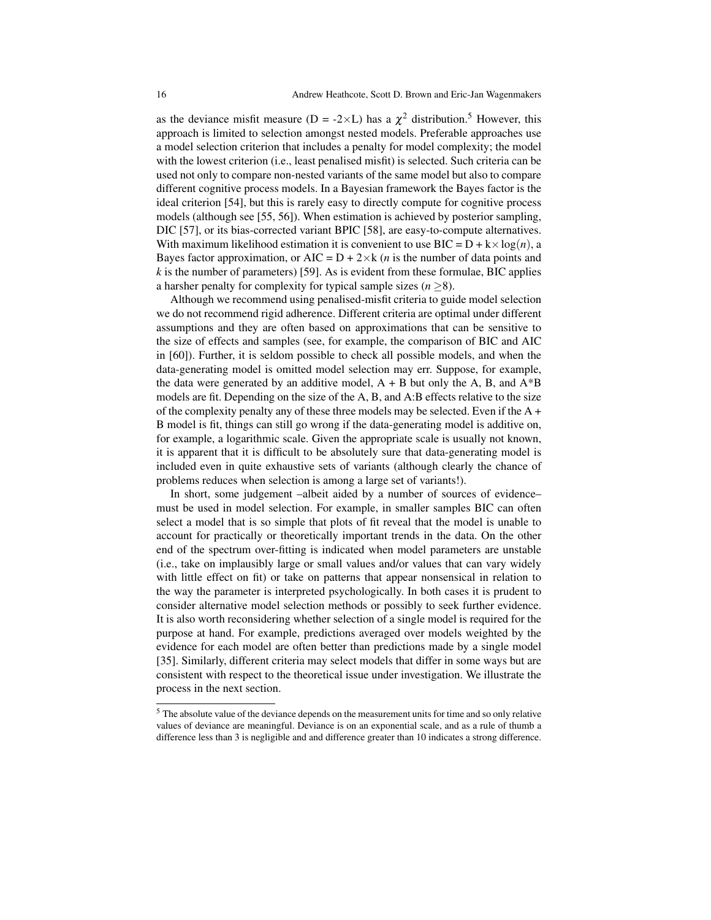as the deviance misfit measure ( $D = -2 \times L$ ) has a  $\chi^2$  distribution.<sup>5</sup> However, this approach is limited to selection amongst nested models. Preferable approaches use a model selection criterion that includes a penalty for model complexity; the model with the lowest criterion (i.e., least penalised misfit) is selected. Such criteria can be used not only to compare non-nested variants of the same model but also to compare different cognitive process models. In a Bayesian framework the Bayes factor is the ideal criterion [54], but this is rarely easy to directly compute for cognitive process models (although see [55, 56]). When estimation is achieved by posterior sampling, DIC [57], or its bias-corrected variant BPIC [58], are easy-to-compute alternatives. With maximum likelihood estimation it is convenient to use  $BIC = D + k \times log(n)$ , a Bayes factor approximation, or  $AIC = D + 2 \times k$  (*n* is the number of data points and *k* is the number of parameters) [59]. As is evident from these formulae, BIC applies a harsher penalty for complexity for typical sample sizes  $(n \geq 8)$ .

Although we recommend using penalised-misfit criteria to guide model selection we do not recommend rigid adherence. Different criteria are optimal under different assumptions and they are often based on approximations that can be sensitive to the size of effects and samples (see, for example, the comparison of BIC and AIC in [60]). Further, it is seldom possible to check all possible models, and when the data-generating model is omitted model selection may err. Suppose, for example, the data were generated by an additive model,  $A + B$  but only the A, B, and  $A * B$ models are fit. Depending on the size of the A, B, and A:B effects relative to the size of the complexity penalty any of these three models may be selected. Even if the A + B model is fit, things can still go wrong if the data-generating model is additive on, for example, a logarithmic scale. Given the appropriate scale is usually not known, it is apparent that it is difficult to be absolutely sure that data-generating model is included even in quite exhaustive sets of variants (although clearly the chance of problems reduces when selection is among a large set of variants!).

In short, some judgement –albeit aided by a number of sources of evidence– must be used in model selection. For example, in smaller samples BIC can often select a model that is so simple that plots of fit reveal that the model is unable to account for practically or theoretically important trends in the data. On the other end of the spectrum over-fitting is indicated when model parameters are unstable (i.e., take on implausibly large or small values and/or values that can vary widely with little effect on fit) or take on patterns that appear nonsensical in relation to the way the parameter is interpreted psychologically. In both cases it is prudent to consider alternative model selection methods or possibly to seek further evidence. It is also worth reconsidering whether selection of a single model is required for the purpose at hand. For example, predictions averaged over models weighted by the evidence for each model are often better than predictions made by a single model [35]. Similarly, different criteria may select models that differ in some ways but are consistent with respect to the theoretical issue under investigation. We illustrate the process in the next section.

<sup>&</sup>lt;sup>5</sup> The absolute value of the deviance depends on the measurement units for time and so only relative values of deviance are meaningful. Deviance is on an exponential scale, and as a rule of thumb a difference less than 3 is negligible and and difference greater than 10 indicates a strong difference.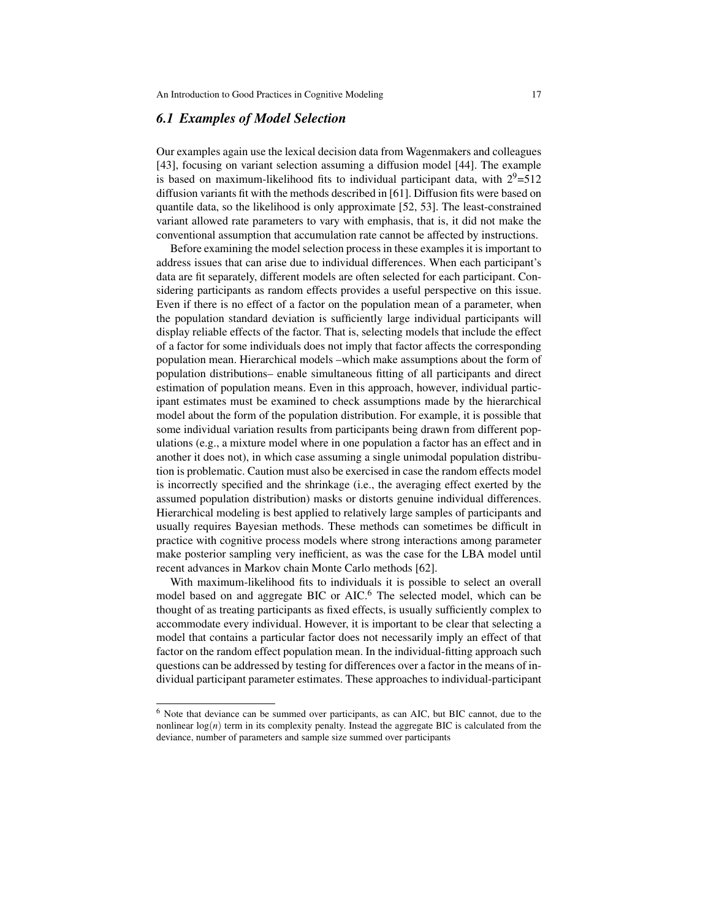#### *6.1 Examples of Model Selection*

Our examples again use the lexical decision data from Wagenmakers and colleagues [43], focusing on variant selection assuming a diffusion model [44]. The example is based on maximum-likelihood fits to individual participant data, with  $2^9 = 512$ diffusion variants fit with the methods described in [61]. Diffusion fits were based on quantile data, so the likelihood is only approximate [52, 53]. The least-constrained variant allowed rate parameters to vary with emphasis, that is, it did not make the conventional assumption that accumulation rate cannot be affected by instructions.

Before examining the model selection process in these examples it is important to address issues that can arise due to individual differences. When each participant's data are fit separately, different models are often selected for each participant. Considering participants as random effects provides a useful perspective on this issue. Even if there is no effect of a factor on the population mean of a parameter, when the population standard deviation is sufficiently large individual participants will display reliable effects of the factor. That is, selecting models that include the effect of a factor for some individuals does not imply that factor affects the corresponding population mean. Hierarchical models –which make assumptions about the form of population distributions– enable simultaneous fitting of all participants and direct estimation of population means. Even in this approach, however, individual participant estimates must be examined to check assumptions made by the hierarchical model about the form of the population distribution. For example, it is possible that some individual variation results from participants being drawn from different populations (e.g., a mixture model where in one population a factor has an effect and in another it does not), in which case assuming a single unimodal population distribution is problematic. Caution must also be exercised in case the random effects model is incorrectly specified and the shrinkage (i.e., the averaging effect exerted by the assumed population distribution) masks or distorts genuine individual differences. Hierarchical modeling is best applied to relatively large samples of participants and usually requires Bayesian methods. These methods can sometimes be difficult in practice with cognitive process models where strong interactions among parameter make posterior sampling very inefficient, as was the case for the LBA model until recent advances in Markov chain Monte Carlo methods [62].

With maximum-likelihood fits to individuals it is possible to select an overall model based on and aggregate BIC or AIC.<sup>6</sup> The selected model, which can be thought of as treating participants as fixed effects, is usually sufficiently complex to accommodate every individual. However, it is important to be clear that selecting a model that contains a particular factor does not necessarily imply an effect of that factor on the random effect population mean. In the individual-fitting approach such questions can be addressed by testing for differences over a factor in the means of individual participant parameter estimates. These approaches to individual-participant

<sup>6</sup> Note that deviance can be summed over participants, as can AIC, but BIC cannot, due to the nonlinear  $log(n)$  term in its complexity penalty. Instead the aggregate BIC is calculated from the deviance, number of parameters and sample size summed over participants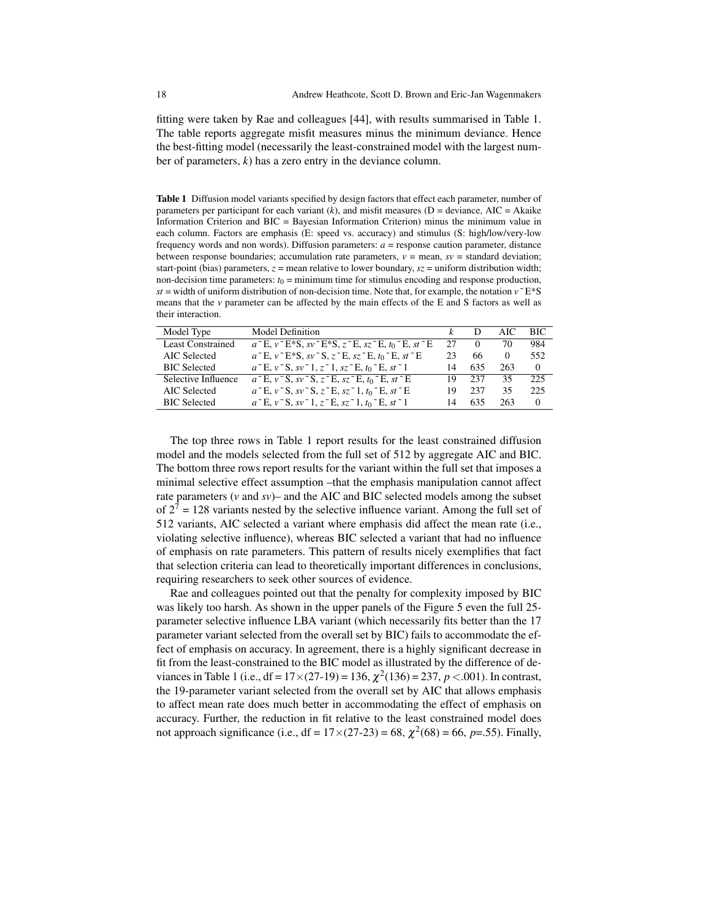fitting were taken by Rae and colleagues [44], with results summarised in Table 1. The table reports aggregate misfit measures minus the minimum deviance. Hence the best-fitting model (necessarily the least-constrained model with the largest number of parameters, *k*) has a zero entry in the deviance column.

Table 1 Diffusion model variants specified by design factors that effect each parameter, number of parameters per participant for each variant  $(k)$ , and misfit measures ( $D =$  deviance, AIC = Akaike Information Criterion and BIC = Bayesian Information Criterion) minus the minimum value in each column. Factors are emphasis (E: speed vs. accuracy) and stimulus (S: high/low/very-low frequency words and non words). Diffusion parameters:  $a =$  response caution parameter, distance between response boundaries; accumulation rate parameters,  $v = \text{mean}, s v = \text{standard deviation}$ ; start-point (bias) parameters,  $z =$  mean relative to lower boundary,  $sz =$  uniform distribution width; non-decision time parameters:  $t_0$  = minimum time for stimulus encoding and response production,  $st$  = width of uniform distribution of non-decision time. Note that, for example, the notation  $v^{\dagger}E^*S$ means that the *v* parameter can be affected by the main effects of the E and S factors as well as their interaction.

| Model Type               | Model Definition                                                                               |    |          | AIC      | BIC.     |
|--------------------------|------------------------------------------------------------------------------------------------|----|----------|----------|----------|
| <b>Least Constrained</b> | $a^{\sim}E, v^{\sim}E^{*}S, sv^{\sim}E^{*}S, z^{\sim}E, sz^{\sim}E, t_{0}^{\sim}E, st^{\sim}E$ | 27 | $\theta$ | 70       | 984      |
| AIC Selected             | $a^{\sim}E, v^{\sim}E^{*}S, sv^{\sim}S, z^{\sim}E, sz^{\sim}E, t_{0}^{\sim}E, st^{\sim}E$      | 23 | 66       | $\theta$ | 552      |
| <b>BIC</b> Selected      | $a^{\sim}E, v^{\sim}S, sv^{\sim}1, z^{\sim}1, sz^{\sim}E, t_0^{\sim}E, st^{\sim}1$             | 14 | 635      | 263      | $\theta$ |
| Selective Influence      | $a^{\sim}E, v^{\sim}S, sv^{\sim}S, z^{\sim}E, sz^{\sim}E, t_0^{\sim}E, st^{\sim}E$             | 19 | 237      | 35       | 225      |
| AIC Selected             | $a^{\sim}E, v^{\sim}S, sv^{\sim}S, z^{\sim}E, sz^{\sim}1, t_0^{\sim}E, st^{\sim}E$             | 19 | 237      | 35       | 225      |
| <b>BIC</b> Selected      | $a^{\sim}E, v^{\sim}S, sv^{\sim}1, z^{\sim}E, sz^{\sim}1, t_0^{\sim}E, st^{\sim}1$             | 14 | 635      | 263      | $\theta$ |

The top three rows in Table 1 report results for the least constrained diffusion model and the models selected from the full set of 512 by aggregate AIC and BIC. The bottom three rows report results for the variant within the full set that imposes a minimal selective effect assumption –that the emphasis manipulation cannot affect rate parameters  $(v \text{ and } sv)$ – and the AIC and BIC selected models among the subset of  $2^7$  = 128 variants nested by the selective influence variant. Among the full set of 512 variants, AIC selected a variant where emphasis did affect the mean rate (i.e., violating selective influence), whereas BIC selected a variant that had no influence of emphasis on rate parameters. This pattern of results nicely exemplifies that fact that selection criteria can lead to theoretically important differences in conclusions, requiring researchers to seek other sources of evidence.

Rae and colleagues pointed out that the penalty for complexity imposed by BIC was likely too harsh. As shown in the upper panels of the Figure 5 even the full 25 parameter selective influence LBA variant (which necessarily fits better than the 17 parameter variant selected from the overall set by BIC) fails to accommodate the effect of emphasis on accuracy. In agreement, there is a highly significant decrease in fit from the least-constrained to the BIC model as illustrated by the difference of deviances in Table 1 (i.e., df =  $17 \times (27-19) = 136$ ,  $\chi^2(136) = 237$ ,  $p < .001$ ). In contrast, the 19-parameter variant selected from the overall set by AIC that allows emphasis to affect mean rate does much better in accommodating the effect of emphasis on accuracy. Further, the reduction in fit relative to the least constrained model does not approach significance (i.e., df =  $17 \times (27-23) = 68$ ,  $\chi^2(68) = 66$ ,  $p = .55$ ). Finally,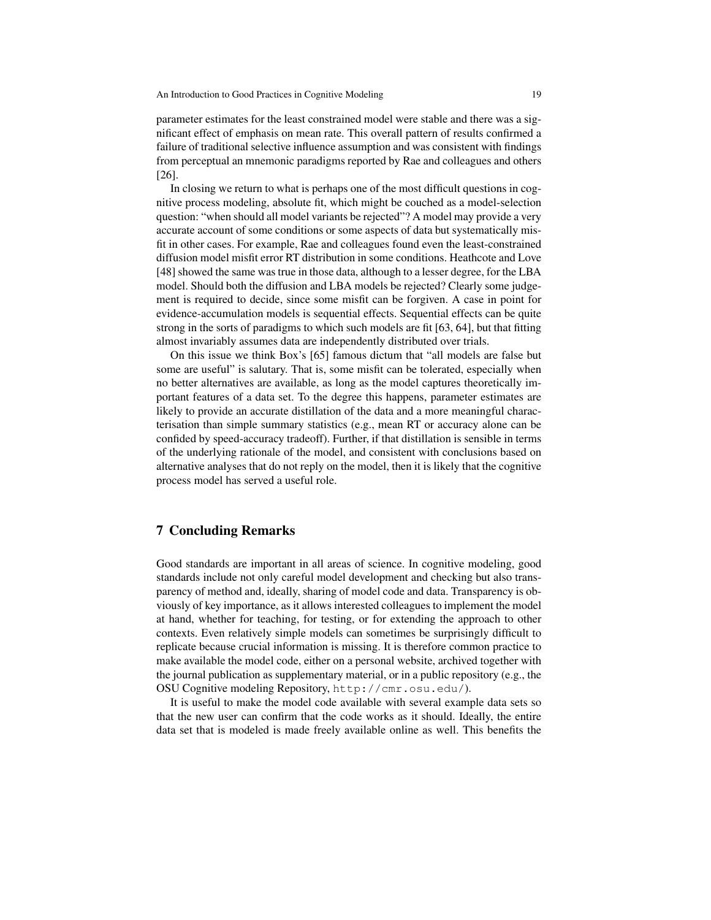An Introduction to Good Practices in Cognitive Modeling 19

parameter estimates for the least constrained model were stable and there was a significant effect of emphasis on mean rate. This overall pattern of results confirmed a failure of traditional selective influence assumption and was consistent with findings from perceptual an mnemonic paradigms reported by Rae and colleagues and others [26].

In closing we return to what is perhaps one of the most difficult questions in cognitive process modeling, absolute fit, which might be couched as a model-selection question: "when should all model variants be rejected"? A model may provide a very accurate account of some conditions or some aspects of data but systematically misfit in other cases. For example, Rae and colleagues found even the least-constrained diffusion model misfit error RT distribution in some conditions. Heathcote and Love [48] showed the same was true in those data, although to a lesser degree, for the LBA model. Should both the diffusion and LBA models be rejected? Clearly some judgement is required to decide, since some misfit can be forgiven. A case in point for evidence-accumulation models is sequential effects. Sequential effects can be quite strong in the sorts of paradigms to which such models are fit [63, 64], but that fitting almost invariably assumes data are independently distributed over trials.

On this issue we think Box's [65] famous dictum that "all models are false but some are useful" is salutary. That is, some misfit can be tolerated, especially when no better alternatives are available, as long as the model captures theoretically important features of a data set. To the degree this happens, parameter estimates are likely to provide an accurate distillation of the data and a more meaningful characterisation than simple summary statistics (e.g., mean RT or accuracy alone can be confided by speed-accuracy tradeoff). Further, if that distillation is sensible in terms of the underlying rationale of the model, and consistent with conclusions based on alternative analyses that do not reply on the model, then it is likely that the cognitive process model has served a useful role.

#### 7 Concluding Remarks

Good standards are important in all areas of science. In cognitive modeling, good standards include not only careful model development and checking but also transparency of method and, ideally, sharing of model code and data. Transparency is obviously of key importance, as it allows interested colleagues to implement the model at hand, whether for teaching, for testing, or for extending the approach to other contexts. Even relatively simple models can sometimes be surprisingly difficult to replicate because crucial information is missing. It is therefore common practice to make available the model code, either on a personal website, archived together with the journal publication as supplementary material, or in a public repository (e.g., the OSU Cognitive modeling Repository, http://cmr.osu.edu/).

It is useful to make the model code available with several example data sets so that the new user can confirm that the code works as it should. Ideally, the entire data set that is modeled is made freely available online as well. This benefits the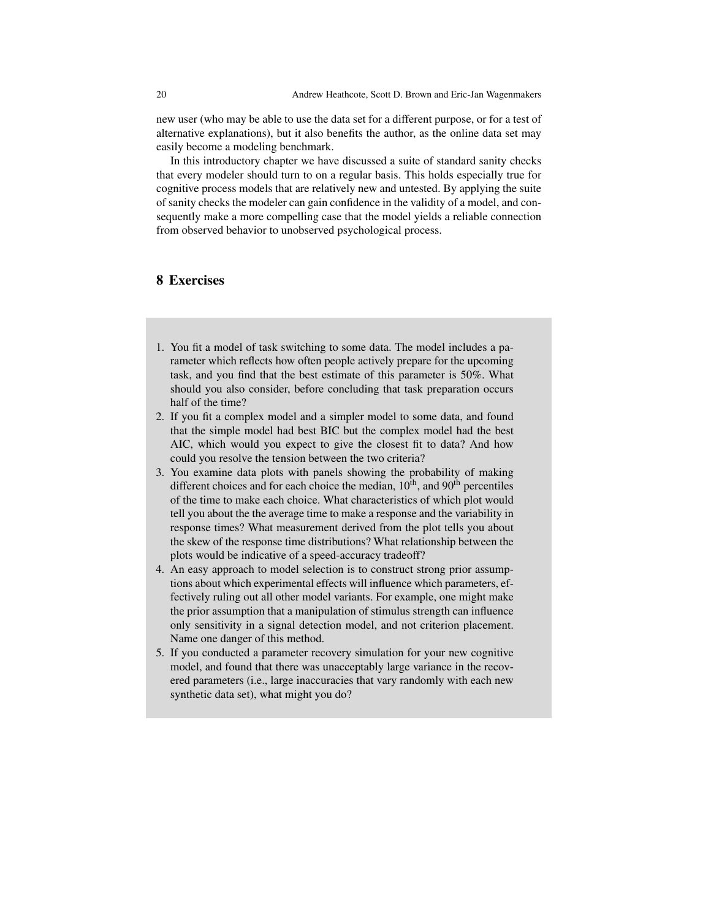new user (who may be able to use the data set for a different purpose, or for a test of alternative explanations), but it also benefits the author, as the online data set may easily become a modeling benchmark.

In this introductory chapter we have discussed a suite of standard sanity checks that every modeler should turn to on a regular basis. This holds especially true for cognitive process models that are relatively new and untested. By applying the suite of sanity checks the modeler can gain confidence in the validity of a model, and consequently make a more compelling case that the model yields a reliable connection from observed behavior to unobserved psychological process.

## 8 Exercises

- 1. You fit a model of task switching to some data. The model includes a parameter which reflects how often people actively prepare for the upcoming task, and you find that the best estimate of this parameter is 50%. What should you also consider, before concluding that task preparation occurs half of the time?
- 2. If you fit a complex model and a simpler model to some data, and found that the simple model had best BIC but the complex model had the best AIC, which would you expect to give the closest fit to data? And how could you resolve the tension between the two criteria?
- 3. You examine data plots with panels showing the probability of making different choices and for each choice the median,  $10^{th}$ , and  $90^{th}$  percentiles of the time to make each choice. What characteristics of which plot would tell you about the the average time to make a response and the variability in response times? What measurement derived from the plot tells you about the skew of the response time distributions? What relationship between the plots would be indicative of a speed-accuracy tradeoff?
- 4. An easy approach to model selection is to construct strong prior assumptions about which experimental effects will influence which parameters, effectively ruling out all other model variants. For example, one might make the prior assumption that a manipulation of stimulus strength can influence only sensitivity in a signal detection model, and not criterion placement. Name one danger of this method.
- 5. If you conducted a parameter recovery simulation for your new cognitive model, and found that there was unacceptably large variance in the recovered parameters (i.e., large inaccuracies that vary randomly with each new synthetic data set), what might you do?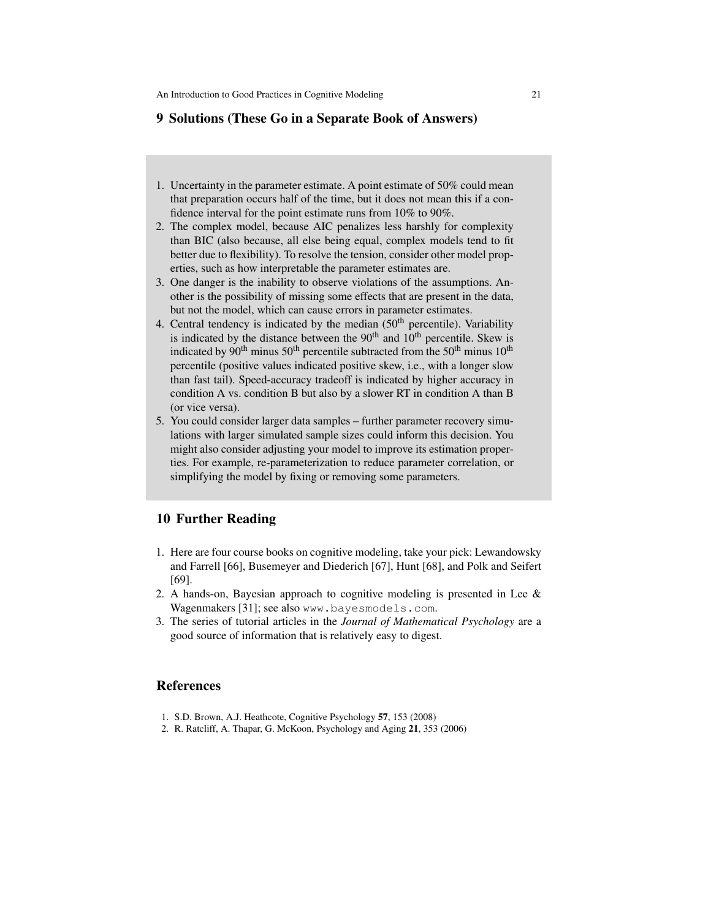#### 9 Solutions (These Go in a Separate Book of Answers)

- 1. Uncertainty in the parameter estimate. A point estimate of 50% could mean that preparation occurs half of the time, but it does not mean this if a confidence interval for the point estimate runs from 10% to 90%.
- 2. The complex model, because AIC penalizes less harshly for complexity than BIC (also because, all else being equal, complex models tend to fit better due to flexibility). To resolve the tension, consider other model properties, such as how interpretable the parameter estimates are.
- 3. One danger is the inability to observe violations of the assumptions. Another is the possibility of missing some effects that are present in the data, but not the model, which can cause errors in parameter estimates.
- 4. Central tendency is indicated by the median  $(50<sup>th</sup>$  percentile). Variability is indicated by the distance between the  $90<sup>th</sup>$  and  $10<sup>th</sup>$  percentile. Skew is indicated by  $90^{th}$  minus  $50^{th}$  percentile subtracted from the  $50^{th}$  minus  $10^{th}$ percentile (positive values indicated positive skew, i.e., with a longer slow than fast tail). Speed-accuracy tradeoff is indicated by higher accuracy in condition A vs. condition B but also by a slower RT in condition A than B (or vice versa).
- 5. You could consider larger data samples further parameter recovery simulations with larger simulated sample sizes could inform this decision. You might also consider adjusting your model to improve its estimation properties. For example, re-parameterization to reduce parameter correlation, or simplifying the model by fixing or removing some parameters.

## 10 Further Reading

- 1. Here are four course books on cognitive modeling, take your pick: Lewandowsky and Farrell [66], Busemeyer and Diederich [67], Hunt [68], and Polk and Seifert [69].
- 2. A hands-on, Bayesian approach to cognitive modeling is presented in Lee & Wagenmakers [31]; see also www.bayesmodels.com.
- 3. The series of tutorial articles in the *Journal of Mathematical Psychology* are a good source of information that is relatively easy to digest.

### References

- 1. S.D. Brown, A.J. Heathcote, Cognitive Psychology 57, 153 (2008)
- 2. R. Ratcliff, A. Thapar, G. McKoon, Psychology and Aging 21, 353 (2006)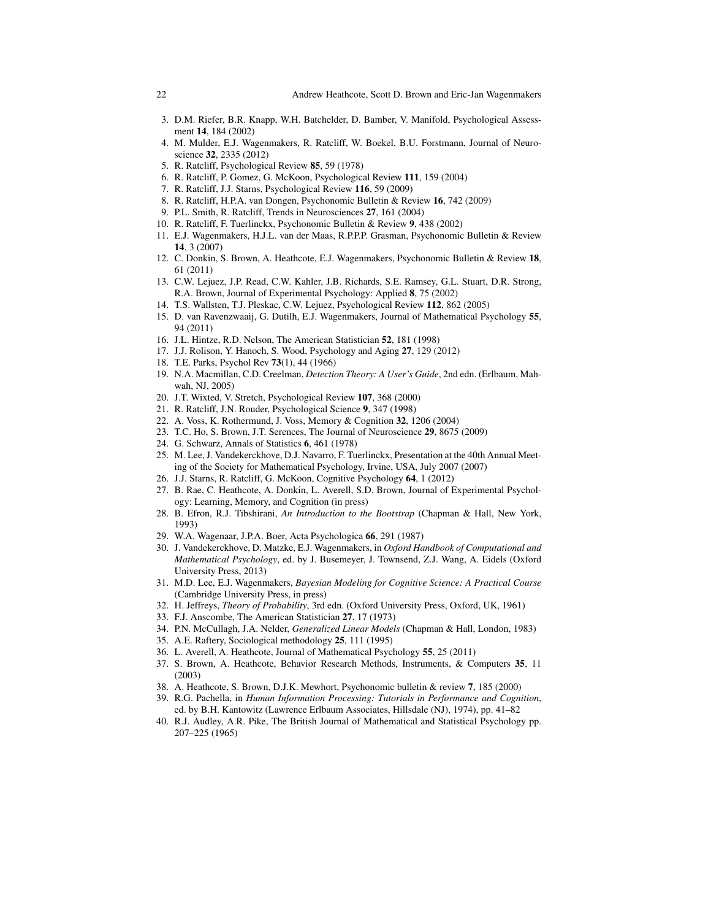- 3. D.M. Riefer, B.R. Knapp, W.H. Batchelder, D. Bamber, V. Manifold, Psychological Assessment 14, 184 (2002)
- 4. M. Mulder, E.J. Wagenmakers, R. Ratcliff, W. Boekel, B.U. Forstmann, Journal of Neuroscience 32, 2335 (2012)
- 5. R. Ratcliff, Psychological Review 85, 59 (1978)
- 6. R. Ratcliff, P. Gomez, G. McKoon, Psychological Review 111, 159 (2004)
- 7. R. Ratcliff, J.J. Starns, Psychological Review 116, 59 (2009)
- 8. R. Ratcliff, H.P.A. van Dongen, Psychonomic Bulletin & Review 16, 742 (2009)
- 9. P.L. Smith, R. Ratcliff, Trends in Neurosciences 27, 161 (2004)
- 10. R. Ratcliff, F. Tuerlinckx, Psychonomic Bulletin & Review 9, 438 (2002)
- 11. E.J. Wagenmakers, H.J.L. van der Maas, R.P.P.P. Grasman, Psychonomic Bulletin & Review 14, 3 (2007)
- 12. C. Donkin, S. Brown, A. Heathcote, E.J. Wagenmakers, Psychonomic Bulletin & Review 18, 61 (2011)
- 13. C.W. Lejuez, J.P. Read, C.W. Kahler, J.B. Richards, S.E. Ramsey, G.L. Stuart, D.R. Strong, R.A. Brown, Journal of Experimental Psychology: Applied 8, 75 (2002)
- 14. T.S. Wallsten, T.J. Pleskac, C.W. Lejuez, Psychological Review 112, 862 (2005)
- 15. D. van Ravenzwaaij, G. Dutilh, E.J. Wagenmakers, Journal of Mathematical Psychology 55, 94 (2011)
- 16. J.L. Hintze, R.D. Nelson, The American Statistician 52, 181 (1998)
- 17. J.J. Rolison, Y. Hanoch, S. Wood, Psychology and Aging 27, 129 (2012)
- 18. T.E. Parks, Psychol Rev 73(1), 44 (1966)
- 19. N.A. Macmillan, C.D. Creelman, *Detection Theory: A User's Guide*, 2nd edn. (Erlbaum, Mahwah, NJ, 2005)
- 20. J.T. Wixted, V. Stretch, Psychological Review 107, 368 (2000)
- 21. R. Ratcliff, J.N. Rouder, Psychological Science 9, 347 (1998)
- 22. A. Voss, K. Rothermund, J. Voss, Memory & Cognition 32, 1206 (2004)
- 23. T.C. Ho, S. Brown, J.T. Serences, The Journal of Neuroscience 29, 8675 (2009)
- 24. G. Schwarz, Annals of Statistics 6, 461 (1978)
- 25. M. Lee, J. Vandekerckhove, D.J. Navarro, F. Tuerlinckx, Presentation at the 40th Annual Meeting of the Society for Mathematical Psychology, Irvine, USA, July 2007 (2007)
- 26. J.J. Starns, R. Ratcliff, G. McKoon, Cognitive Psychology 64, 1 (2012)
- 27. B. Rae, C. Heathcote, A. Donkin, L. Averell, S.D. Brown, Journal of Experimental Psychology: Learning, Memory, and Cognition (in press)
- 28. B. Efron, R.J. Tibshirani, *An Introduction to the Bootstrap* (Chapman & Hall, New York, 1993)
- 29. W.A. Wagenaar, J.P.A. Boer, Acta Psychologica 66, 291 (1987)
- 30. J. Vandekerckhove, D. Matzke, E.J. Wagenmakers, in *Oxford Handbook of Computational and Mathematical Psychology*, ed. by J. Busemeyer, J. Townsend, Z.J. Wang, A. Eidels (Oxford University Press, 2013)
- 31. M.D. Lee, E.J. Wagenmakers, *Bayesian Modeling for Cognitive Science: A Practical Course* (Cambridge University Press, in press)
- 32. H. Jeffreys, *Theory of Probability*, 3rd edn. (Oxford University Press, Oxford, UK, 1961)
- 33. F.J. Anscombe, The American Statistician 27, 17 (1973)
- 34. P.N. McCullagh, J.A. Nelder, *Generalized Linear Models* (Chapman & Hall, London, 1983)
- 35. A.E. Raftery, Sociological methodology 25, 111 (1995)
- 36. L. Averell, A. Heathcote, Journal of Mathematical Psychology 55, 25 (2011)
- 37. S. Brown, A. Heathcote, Behavior Research Methods, Instruments, & Computers 35, 11 (2003)
- 38. A. Heathcote, S. Brown, D.J.K. Mewhort, Psychonomic bulletin & review 7, 185 (2000)
- 39. R.G. Pachella, in *Human Information Processing: Tutorials in Performance and Cognition*, ed. by B.H. Kantowitz (Lawrence Erlbaum Associates, Hillsdale (NJ), 1974), pp. 41–82
- 40. R.J. Audley, A.R. Pike, The British Journal of Mathematical and Statistical Psychology pp. 207–225 (1965)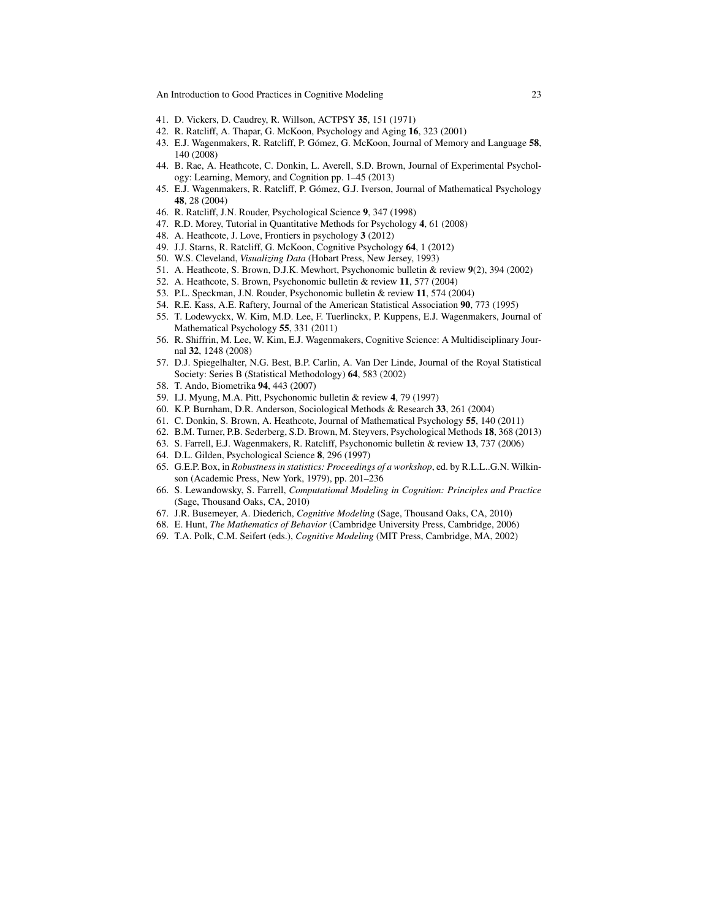- 41. D. Vickers, D. Caudrey, R. Willson, ACTPSY 35, 151 (1971)
- 42. R. Ratcliff, A. Thapar, G. McKoon, Psychology and Aging 16, 323 (2001)
- 43. E.J. Wagenmakers, R. Ratcliff, P. Gómez, G. McKoon, Journal of Memory and Language 58, 140 (2008)
- 44. B. Rae, A. Heathcote, C. Donkin, L. Averell, S.D. Brown, Journal of Experimental Psychology: Learning, Memory, and Cognition pp. 1–45 (2013)
- 45. E.J. Wagenmakers, R. Ratcliff, P. Gomez, G.J. Iverson, Journal of Mathematical Psychology ´ 48, 28 (2004)
- 46. R. Ratcliff, J.N. Rouder, Psychological Science 9, 347 (1998)
- 47. R.D. Morey, Tutorial in Quantitative Methods for Psychology 4, 61 (2008)
- 48. A. Heathcote, J. Love, Frontiers in psychology 3 (2012)
- 49. J.J. Starns, R. Ratcliff, G. McKoon, Cognitive Psychology 64, 1 (2012)
- 50. W.S. Cleveland, *Visualizing Data* (Hobart Press, New Jersey, 1993)
- 51. A. Heathcote, S. Brown, D.J.K. Mewhort, Psychonomic bulletin & review 9(2), 394 (2002)
- 52. A. Heathcote, S. Brown, Psychonomic bulletin & review 11, 577 (2004)
- 53. P.L. Speckman, J.N. Rouder, Psychonomic bulletin & review 11, 574 (2004)
- 54. R.E. Kass, A.E. Raftery, Journal of the American Statistical Association 90, 773 (1995)
- 55. T. Lodewyckx, W. Kim, M.D. Lee, F. Tuerlinckx, P. Kuppens, E.J. Wagenmakers, Journal of Mathematical Psychology 55, 331 (2011)
- 56. R. Shiffrin, M. Lee, W. Kim, E.J. Wagenmakers, Cognitive Science: A Multidisciplinary Journal 32, 1248 (2008)
- 57. D.J. Spiegelhalter, N.G. Best, B.P. Carlin, A. Van Der Linde, Journal of the Royal Statistical Society: Series B (Statistical Methodology) 64, 583 (2002)
- 58. T. Ando, Biometrika 94, 443 (2007)
- 59. I.J. Myung, M.A. Pitt, Psychonomic bulletin & review 4, 79 (1997)
- 60. K.P. Burnham, D.R. Anderson, Sociological Methods & Research 33, 261 (2004)
- 61. C. Donkin, S. Brown, A. Heathcote, Journal of Mathematical Psychology 55, 140 (2011)
- 62. B.M. Turner, P.B. Sederberg, S.D. Brown, M. Steyvers, Psychological Methods 18, 368 (2013)
- 63. S. Farrell, E.J. Wagenmakers, R. Ratcliff, Psychonomic bulletin & review 13, 737 (2006)
- 64. D.L. Gilden, Psychological Science 8, 296 (1997)
- 65. G.E.P. Box, in *Robustness in statistics: Proceedings of a workshop*, ed. by R.L.L..G.N. Wilkinson (Academic Press, New York, 1979), pp. 201–236
- 66. S. Lewandowsky, S. Farrell, *Computational Modeling in Cognition: Principles and Practice* (Sage, Thousand Oaks, CA, 2010)
- 67. J.R. Busemeyer, A. Diederich, *Cognitive Modeling* (Sage, Thousand Oaks, CA, 2010)
- 68. E. Hunt, *The Mathematics of Behavior* (Cambridge University Press, Cambridge, 2006)
- 69. T.A. Polk, C.M. Seifert (eds.), *Cognitive Modeling* (MIT Press, Cambridge, MA, 2002)